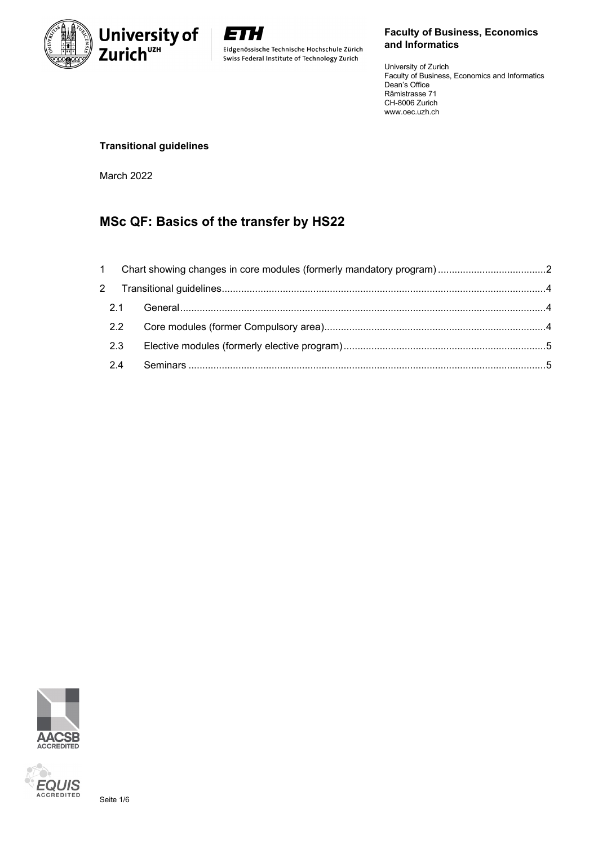

E H Eidgenössische Technische Hochschule Zürich Swiss Federal Institute of Technology Zurich

## **Faculty of Business, Economics and Informatics**

University of Zurich Faculty of Business, Economics and Informatics Dean's Office Rämistrasse 71 CH-8006 Zurich www.oec.uzh.ch

## **Transitional guidelines**

March 2022

# **MSc QF: Basics of the transfer by HS22**

| 2.2 |  |
|-----|--|
| 2.3 |  |
| 2.4 |  |



X)

**EQUIS** Seite 1/6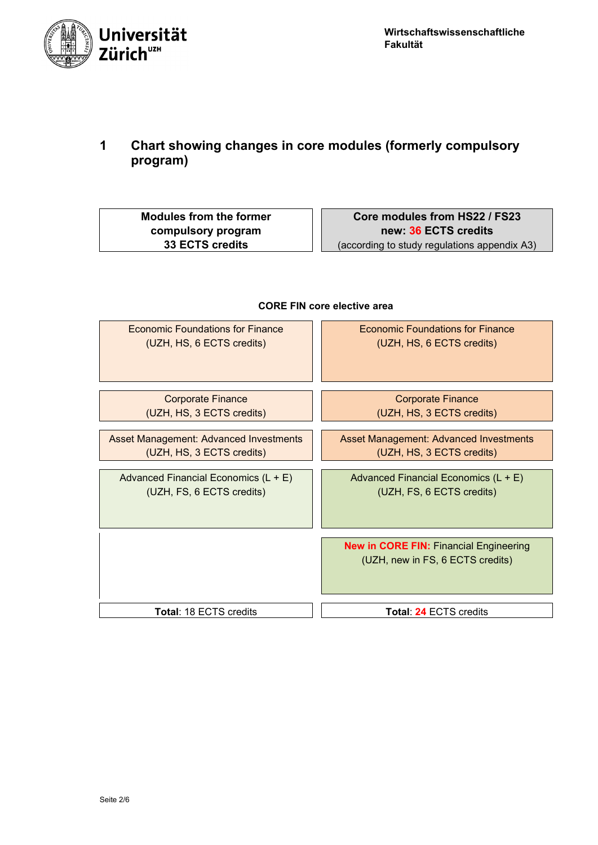

<span id="page-1-0"></span>**1 Chart showing changes in core modules (formerly compulsory program)**

**Modules from the former compulsory program 33 ECTS credits**

**Core modules from HS22 / FS23 new: 36 ECTS credits** (according to study regulations appendix A3)



## **CORE FIN core elective area**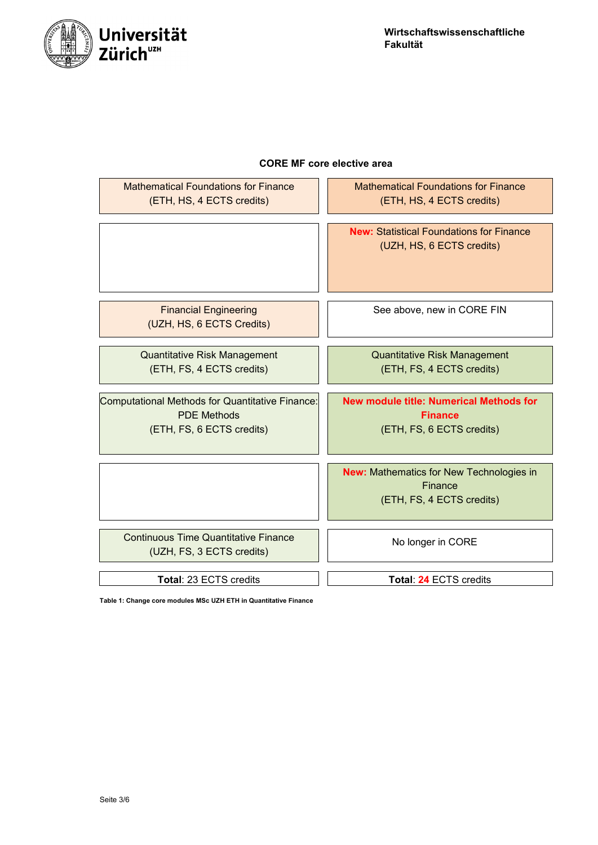

## **CORE MF core elective area**

| <b>Mathematical Foundations for Finance</b><br>(ETH, HS, 4 ECTS credits)                           | <b>Mathematical Foundations for Finance</b><br>(ETH, HS, 4 ECTS credits)                      |
|----------------------------------------------------------------------------------------------------|-----------------------------------------------------------------------------------------------|
|                                                                                                    | <b>New: Statistical Foundations for Finance</b><br>(UZH, HS, 6 ECTS credits)                  |
| <b>Financial Engineering</b><br>(UZH, HS, 6 ECTS Credits)                                          | See above, new in CORE FIN                                                                    |
| <b>Quantitative Risk Management</b><br>(ETH, FS, 4 ECTS credits)                                   | <b>Quantitative Risk Management</b><br>(ETH, FS, 4 ECTS credits)                              |
| Computational Methods for Quantitative Finance:<br><b>PDE Methods</b><br>(ETH, FS, 6 ECTS credits) | <b>New module title: Numerical Methods for</b><br><b>Finance</b><br>(ETH, FS, 6 ECTS credits) |
|                                                                                                    |                                                                                               |
|                                                                                                    | <b>New: Mathematics for New Technologies in</b><br>Finance<br>(ETH, FS, 4 ECTS credits)       |
| <b>Continuous Time Quantitative Finance</b><br>(UZH, FS, 3 ECTS credits)                           | No longer in CORE                                                                             |

**Table 1: Change core modules MSc UZH ETH in Quantitative Finance**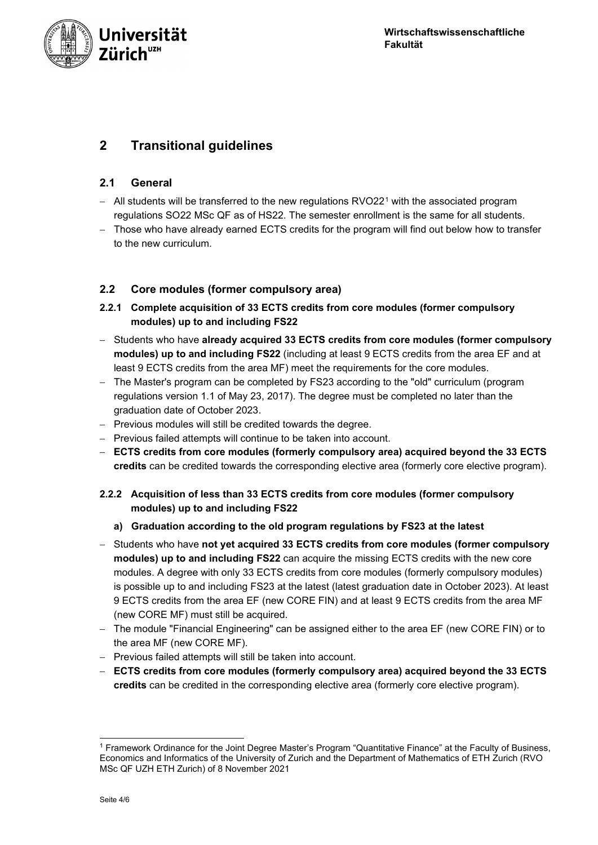

## <span id="page-3-1"></span><span id="page-3-0"></span>**2 Transitional guidelines**

## **2.1 General**

- − All students will be transferred to the new regulations RVO22<sup>[1](#page-3-3)</sup> with the associated program regulations SO22 MSc QF as of HS22. The semester enrollment is the same for all students.
- − Those who have already earned ECTS credits for the program will find out below how to transfer to the new curriculum.

## <span id="page-3-2"></span>**2.2 Core modules (former compulsory area)**

- **2.2.1 Complete acquisition of 33 ECTS credits from core modules (former compulsory modules) up to and including FS22**
- − Students who have **already acquired 33 ECTS credits from core modules (former compulsory modules) up to and including FS22** (including at least 9 ECTS credits from the area EF and at least 9 ECTS credits from the area MF) meet the requirements for the core modules.
- The Master's program can be completed by FS23 according to the "old" curriculum (program regulations version 1.1 of May 23, 2017). The degree must be completed no later than the graduation date of October 2023.
- − Previous modules will still be credited towards the degree.
- − Previous failed attempts will continue to be taken into account.
- − **ECTS credits from core modules (formerly compulsory area) acquired beyond the 33 ECTS credits** can be credited towards the corresponding elective area (formerly core elective program).

## **2.2.2 Acquisition of less than 33 ECTS credits from core modules (former compulsory modules) up to and including FS22**

- **a) Graduation according to the old program regulations by FS23 at the latest**
- − Students who have **not yet acquired 33 ECTS credits from core modules (former compulsory modules) up to and including FS22** can acquire the missing ECTS credits with the new core modules. A degree with only 33 ECTS credits from core modules (formerly compulsory modules) is possible up to and including FS23 at the latest (latest graduation date in October 2023). At least 9 ECTS credits from the area EF (new CORE FIN) and at least 9 ECTS credits from the area MF (new CORE MF) must still be acquired.
- − The module "Financial Engineering" can be assigned either to the area EF (new CORE FIN) or to the area MF (new CORE MF).
- − Previous failed attempts will still be taken into account.
- − **ECTS credits from core modules (formerly compulsory area) acquired beyond the 33 ECTS credits** can be credited in the corresponding elective area (formerly core elective program).

<span id="page-3-3"></span><sup>1</sup> Framework Ordinance for the Joint Degree Master's Program "Quantitative Finance" at the Faculty of Business, Economics and Informatics of the University of Zurich and the Department of Mathematics of ETH Zurich (RVO MSc QF UZH ETH Zurich) of 8 November 2021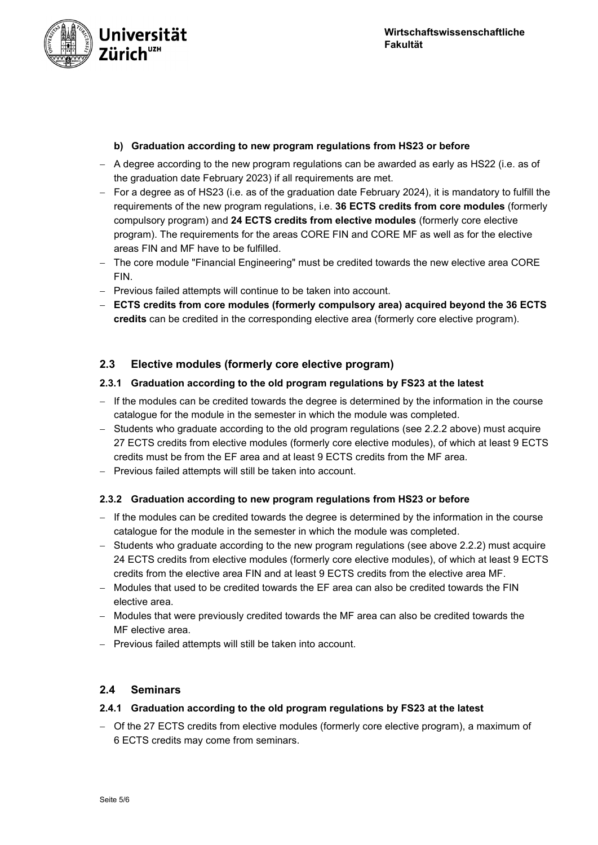

### **b) Graduation according to new program regulations from HS23 or before**

- − A degree according to the new program regulations can be awarded as early as HS22 (i.e. as of the graduation date February 2023) if all requirements are met.
- − For a degree as of HS23 (i.e. as of the graduation date February 2024), it is mandatory to fulfill the requirements of the new program regulations, i.e. **36 ECTS credits from core modules** (formerly compulsory program) and **24 ECTS credits from elective modules** (formerly core elective program). The requirements for the areas CORE FIN and CORE MF as well as for the elective areas FIN and MF have to be fulfilled.
- − The core module "Financial Engineering" must be credited towards the new elective area CORE FIN.
- − Previous failed attempts will continue to be taken into account.
- − **ECTS credits from core modules (formerly compulsory area) acquired beyond the 36 ECTS credits** can be credited in the corresponding elective area (formerly core elective program).

## <span id="page-4-0"></span>**2.3 Elective modules (formerly core elective program)**

#### **2.3.1 Graduation according to the old program regulations by FS23 at the latest**

- − If the modules can be credited towards the degree is determined by the information in the course catalogue for the module in the semester in which the module was completed.
- − Students who graduate according to the old program regulations (see 2.2.2 above) must acquire 27 ECTS credits from elective modules (formerly core elective modules), of which at least 9 ECTS credits must be from the EF area and at least 9 ECTS credits from the MF area.
- − Previous failed attempts will still be taken into account.

#### **2.3.2 Graduation according to new program regulations from HS23 or before**

- − If the modules can be credited towards the degree is determined by the information in the course catalogue for the module in the semester in which the module was completed.
- − Students who graduate according to the new program regulations (see above 2.2.2) must acquire 24 ECTS credits from elective modules (formerly core elective modules), of which at least 9 ECTS credits from the elective area FIN and at least 9 ECTS credits from the elective area MF.
- − Modules that used to be credited towards the EF area can also be credited towards the FIN elective area.
- − Modules that were previously credited towards the MF area can also be credited towards the MF elective area.
- − Previous failed attempts will still be taken into account.

#### <span id="page-4-1"></span>**2.4 Seminars**

### **2.4.1 Graduation according to the old program regulations by FS23 at the latest**

− Of the 27 ECTS credits from elective modules (formerly core elective program), a maximum of 6 ECTS credits may come from seminars.